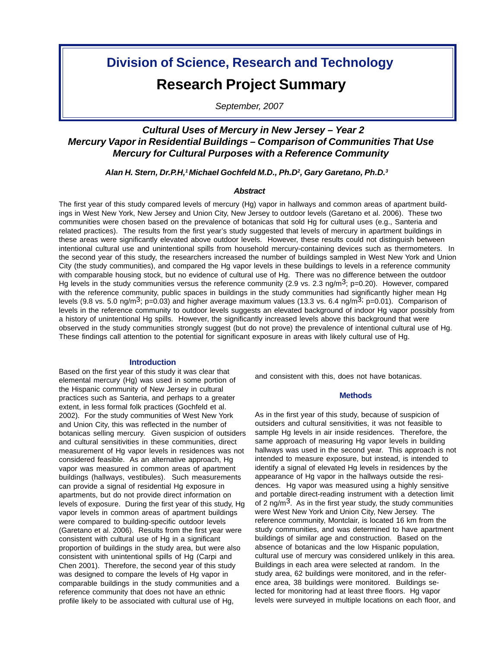# **Division of Science, Research and Technology Research Project Summary**

*September, 2007*

# *Cultural Uses of Mercury in New Jersey – Year 2 Mercury Vapor in Residential Buildings – Comparison of Communities That Use Mercury for Cultural Purposes with a Reference Community*

*Alan H. Stern, Dr.P.H,1 Michael Gochfeld M.D., Ph.D2 , Gary Garetano, Ph.D.3*

### *Abstract*

The first year of this study compared levels of mercury (Hg) vapor in hallways and common areas of apartment buildings in West New York, New Jersey and Union City, New Jersey to outdoor levels (Garetano et al. 2006). These two communities were chosen based on the prevalence of botanicas that sold Hg for cultural uses (e.g., Santeria and related practices). The results from the first year's study suggested that levels of mercury in apartment buildings in these areas were significantly elevated above outdoor levels. However, these results could not distinguish between intentional cultural use and unintentional spills from household mercury-containing devices such as thermometers. In the second year of this study, the researchers increased the number of buildings sampled in West New York and Union City (the study communities), and compared the Hg vapor levels in these buildings to levels in a reference community with comparable housing stock, but no evidence of cultural use of Hg. There was no difference between the outdoor Hg levels in the study communities versus the reference community (2.9 vs. 2.3 ng/m<sup>3</sup>; p=0.20). However, compared with the reference community, public spaces in buildings in the study communities had significantly higher mean Hg levels (9.8 vs. 5.0 ng/m<sup>3</sup>; p=0.03) and higher average maximum values (13.3 vs. 6.4 ng/m<sup>3</sup>; p=0.01). Comparison of levels in the reference community to outdoor levels suggests an elevated background of indoor Hg vapor possibly from a history of unintentional Hg spills. However, the significantly increased levels above this background that were observed in the study communities strongly suggest (but do not prove) the prevalence of intentional cultural use of Hg. These findings call attention to the potential for significant exposure in areas with likely cultural use of Hg.

#### **Introduction**

Based on the first year of this study it was clear that elemental mercury (Hg) was used in some portion of the Hispanic community of New Jersey in cultural practices such as Santeria, and perhaps to a greater extent, in less formal folk practices (Gochfeld et al. 2002). For the study communities of West New York and Union City, this was reflected in the number of botanicas selling mercury. Given suspicion of outsiders and cultural sensitivities in these communities, direct measurement of Hg vapor levels in residences was not considered feasible. As an alternative approach, Hg vapor was measured in common areas of apartment buildings (hallways, vestibules). Such measurements can provide a signal of residential Hg exposure in apartments, but do not provide direct information on levels of exposure. During the first year of this study, Hg vapor levels in common areas of apartment buildings were compared to building-specific outdoor levels (Garetano et al. 2006). Results from the first year were consistent with cultural use of Hg in a significant proportion of buildings in the study area, but were also consistent with unintentional spills of Hg (Carpi and Chen 2001). Therefore, the second year of this study was designed to compare the levels of Hg vapor in comparable buildings in the study communities and a reference community that does not have an ethnic profile likely to be associated with cultural use of Hg,

and consistent with this, does not have botanicas.

#### **Methods**

As in the first year of this study, because of suspicion of outsiders and cultural sensitivities, it was not feasible to sample Hg levels in air inside residences. Therefore, the same approach of measuring Hg vapor levels in building hallways was used in the second year. This approach is not intended to measure exposure, but instead, is intended to identify a signal of elevated Hg levels in residences by the appearance of Hg vapor in the hallways outside the residences. Hg vapor was measured using a highly sensitive and portable direct-reading instrument with a detection limit of 2 ng/m<sup>3</sup>. As in the first year study, the study communities were West New York and Union City, New Jersey. The reference community, Montclair, is located 16 km from the study communities, and was determined to have apartment buildings of similar age and construction. Based on the absence of botanicas and the low Hispanic population, cultural use of mercury was considered unlikely in this area. Buildings in each area were selected at random. In the study area, 62 buildings were monitored, and in the reference area, 38 buildings were monitored. Buildings selected for monitoring had at least three floors. Hg vapor levels were surveyed in multiple locations on each floor, and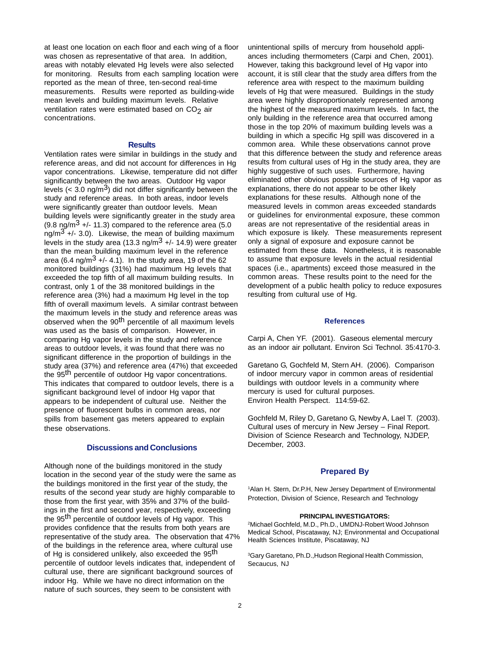at least one location on each floor and each wing of a floor was chosen as representative of that area. In addition, areas with notably elevated Hg levels were also selected for monitoring. Results from each sampling location were reported as the mean of three, ten-second real-time measurements. Results were reported as building-wide mean levels and building maximum levels. Relative ventilation rates were estimated based on  $CO<sub>2</sub>$  air concentrations.

#### **Results**

Ventilation rates were similar in buildings in the study and reference areas, and did not account for differences in Hg vapor concentrations. Likewise, temperature did not differ significantly between the two areas. Outdoor Hg vapor levels ( $<$  3.0 ng/m<sup>3</sup>) did not differ significantly between the study and reference areas. In both areas, indoor levels were significantly greater than outdoor levels. Mean building levels were significantly greater in the study area  $(9.8 \text{ ng/m}^3 +$ -11.3) compared to the reference area (5.0) ng/m $3 +$ -1 3.0). Likewise, the mean of building maximum levels in the study area (13.3 ng/m<sup>3</sup> +/- 14.9) were greater than the mean building maximum level in the reference area (6.4 ng/m<sup>3</sup> +/- 4.1). In the study area, 19 of the 62 monitored buildings (31%) had maximum Hg levels that exceeded the top fifth of all maximum building results. In contrast, only 1 of the 38 monitored buildings in the reference area (3%) had a maximum Hg level in the top fifth of overall maximum levels. A similar contrast between the maximum levels in the study and reference areas was observed when the 90<sup>th</sup> percentile of all maximum levels was used as the basis of comparison. However, in comparing Hg vapor levels in the study and reference areas to outdoor levels, it was found that there was no significant difference in the proportion of buildings in the study area (37%) and reference area (47%) that exceeded the 95<sup>th</sup> percentile of outdoor Hg vapor concentrations. This indicates that compared to outdoor levels, there is a significant background level of indoor Hg vapor that appears to be independent of cultural use. Neither the presence of fluorescent bulbs in common areas, nor spills from basement gas meters appeared to explain these observations.

#### **Discussions and Conclusions**

Although none of the buildings monitored in the study location in the second year of the study were the same as the buildings monitored in the first year of the study, the results of the second year study are highly comparable to those from the first year, with 35% and 37% of the buildings in the first and second year, respectively, exceeding the 95<sup>th</sup> percentile of outdoor levels of Hg vapor. This provides confidence that the results from both years are representative of the study area. The observation that 47% of the buildings in the reference area, where cultural use of Hg is considered unlikely, also exceeded the 95<sup>th</sup> percentile of outdoor levels indicates that, independent of cultural use, there are significant background sources of indoor Hg. While we have no direct information on the nature of such sources, they seem to be consistent with

unintentional spills of mercury from household appliances including thermometers (Carpi and Chen, 2001). However, taking this background level of Hg vapor into account, it is still clear that the study area differs from the reference area with respect to the maximum building levels of Hg that were measured. Buildings in the study area were highly disproportionately represented among the highest of the measured maximum levels. In fact, the only building in the reference area that occurred among those in the top 20% of maximum building levels was a building in which a specific Hg spill was discovered in a common area. While these observations cannot prove that this difference between the study and reference areas results from cultural uses of Hg in the study area, they are highly suggestive of such uses. Furthermore, having eliminated other obvious possible sources of Hg vapor as explanations, there do not appear to be other likely explanations for these results. Although none of the measured levels in common areas exceeded standards or guidelines for environmental exposure, these common areas are not representative of the residential areas in which exposure is likely. These measurements represent only a signal of exposure and exposure cannot be estimated from these data. Nonetheless, it is reasonable to assume that exposure levels in the actual residential spaces (i.e., apartments) exceed those measured in the common areas. These results point to the need for the development of a public health policy to reduce exposures resulting from cultural use of Hg.

#### **References**

Carpi A, Chen YF. (2001). Gaseous elemental mercury as an indoor air pollutant. Environ Sci Technol. 35:4170-3.

Garetano G, Gochfeld M, Stern AH. (2006). Comparison of indoor mercury vapor in common areas of residential buildings with outdoor levels in a community where mercury is used for cultural purposes. Environ Health Perspect. 114:59-62.

Gochfeld M, Riley D, Garetano G, Newby A, Lael T. (2003). Cultural uses of mercury in New Jersey – Final Report. Division of Science Research and Technology, NJDEP, December, 2003.

## **Prepared By**

1Alan H. Stern, Dr.P.H, New Jersey Department of Environmental Protection, Division of Science, Research and Technology

#### **PRINCIPAL INVESTIGATORS:**

2Michael Gochfeld, M.D., Ph.D., UMDNJ-Robert Wood Johnson Medical School, Piscataway, NJ; Environmental and Occupational Health Sciences Institute, Piscataway, NJ

3Gary Garetano, Ph.D.,Hudson Regional Health Commission, Secaucus, NJ